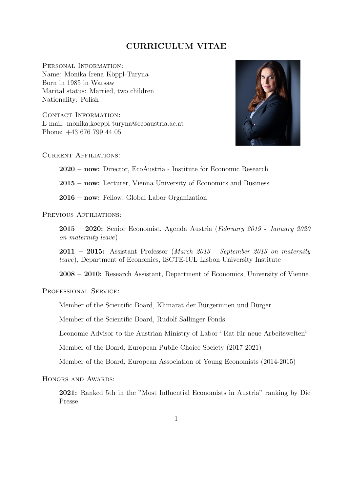## CURRICULUM VITAE

PERSONAL INFORMATION: Name: Monika Irena Köppl-Turyna Born in 1985 in Warsaw Marital status: Married, two children Nationality: Polish

CONTACT INFORMATION: E-mail: monika.koeppl-turyna@ecoaustria.ac.at Phone: +43 676 799 44 05



Current Affiliations:

2020 – now: Director, EcoAustria - Institute for Economic Research

2015 – now: Lecturer, Vienna University of Economics and Business

2016 – now: Fellow, Global Labor Organization

PREVIOUS AFFILIATIONS:

 $2015 - 2020$ : Senior Economist, Agenda Austria (February 2019 - January 2020) on maternity leave)

 $2011 - 2015$ : Assistant Professor (March 2013 - September 2013 on maternity leave), Department of Economics, ISCTE-IUL Lisbon University Institute

2008 – 2010: Research Assistant, Department of Economics, University of Vienna

PROFESSIONAL SERVICE:

Member of the Scientific Board, Klimarat der Bürgerinnen und Bürger

Member of the Scientific Board, Rudolf Sallinger Fonds

Economic Advisor to the Austrian Ministry of Labor "Rat für neue Arbeitswelten"

Member of the Board, European Public Choice Society (2017-2021)

Member of the Board, European Association of Young Economists (2014-2015)

HONORS AND AWARDS:

2021: Ranked 5th in the "Most Influential Economists in Austria" ranking by Die Presse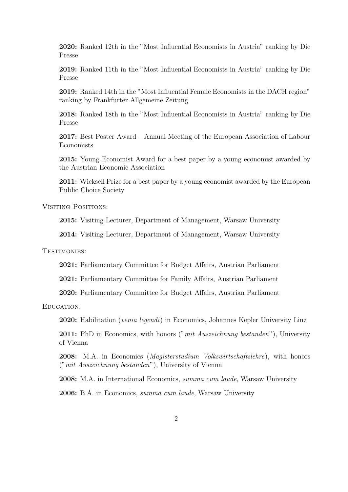2020: Ranked 12th in the "Most Influential Economists in Austria" ranking by Die Presse

2019: Ranked 11th in the "Most Influential Economists in Austria" ranking by Die Presse

2019: Ranked 14th in the "Most Influential Female Economists in the DACH region" ranking by Frankfurter Allgemeine Zeitung

2018: Ranked 18th in the "Most Influential Economists in Austria" ranking by Die Presse

2017: Best Poster Award – Annual Meeting of the European Association of Labour Economists

2015: Young Economist Award for a best paper by a young economist awarded by the Austrian Economic Association

2011: Wicksell Prize for a best paper by a young economist awarded by the European Public Choice Society

VISITING POSITIONS:

2015: Visiting Lecturer, Department of Management, Warsaw University

2014: Visiting Lecturer, Department of Management, Warsaw University

TESTIMONIES:

2021: Parliamentary Committee for Budget Affairs, Austrian Parliament

2021: Parliamentary Committee for Family Affairs, Austrian Parliament

2020: Parliamentary Committee for Budget Affairs, Austrian Parliament

EDUCATION:

2020: Habilitation *(venia legendi)* in Economics, Johannes Kepler University Linz

**2011:** PhD in Economics, with honors ("mit Auszeichnung bestanden"), University of Vienna

2008: M.A. in Economics (Magisterstudium Volkswirtschaftslehre), with honors ("mit Auszeichnung bestanden"), University of Vienna

2008: M.A. in International Economics, summa cum laude, Warsaw University

2006: B.A. in Economics, summa cum laude, Warsaw University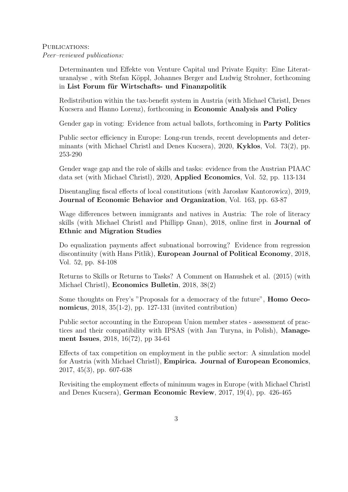## PUBLICATIONS: Peer–reviewed publications:

Determinanten und Effekte von Venture Capital und Private Equity: Eine Literaturanalyse, with Stefan Köppl, Johannes Berger and Ludwig Strohner, forthcoming in List Forum für Wirtschafts- und Finanzpolitik

Redistribution within the tax-benefit system in Austria (with Michael Christl, Denes Kucsera and Hanno Lorenz), forthcoming in Economic Analysis and Policy

Gender gap in voting: Evidence from actual ballots, forthcoming in Party Politics

Public sector efficiency in Europe: Long-run trends, recent developments and determinants (with Michael Christl and Denes Kucsera), 2020, Kyklos, Vol. 73(2), pp. 253-290

Gender wage gap and the role of skills and tasks: evidence from the Austrian PIAAC data set (with Michael Christl), 2020, Applied Economics, Vol. 52, pp. 113-134

Disentangling fiscal effects of local constitutions (with Jarosław Kantorowicz), 2019, Journal of Economic Behavior and Organization, Vol. 163, pp. 63-87

Wage differences between immigrants and natives in Austria: The role of literacy skills (with Michael Christl and Phillipp Gnan), 2018, online first in Journal of Ethnic and Migration Studies

Do equalization payments affect subnational borrowing? Evidence from regression discontinuity (with Hans Pitlik), European Journal of Political Economy, 2018, Vol. 52, pp. 84-108

Returns to Skills or Returns to Tasks? A Comment on Hanushek et al. (2015) (with Michael Christl), Economics Bulletin, 2018, 38(2)

Some thoughts on Frey's "Proposals for a democracy of the future", Homo Oeconomicus, 2018, 35(1-2), pp. 127-131 (invited contribution)

Public sector accounting in the European Union member states - assessment of practices and their compatibility with IPSAS (with Jan Turyna, in Polish), Management Issues, 2018, 16(72), pp 34-61

Effects of tax competition on employment in the public sector: A simulation model for Austria (with Michael Christl), Empirica. Journal of European Economics, 2017, 45(3), pp. 607-638

Revisiting the employment effects of minimum wages in Europe (with Michael Christl and Denes Kucsera), German Economic Review, 2017, 19(4), pp. 426-465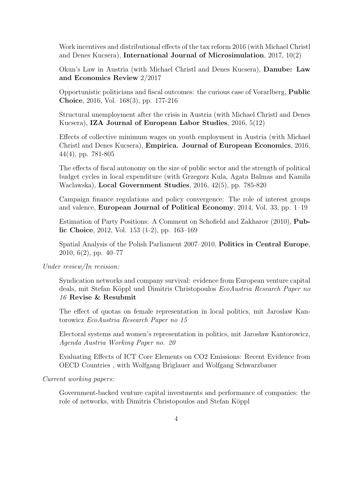Work incentives and distributional effects of the tax reform 2016 (with Michael Christl and Denes Kucsera), International Journal of Microsimulation, 2017, 10(2)

Okun's Law in Austria (with Michael Christl and Denes Kucsera), Danube: Law and Economics Review 2/2017

Opportunistic politicians and fiscal outcomes: the curious case of Vorarlberg, Public Choice, 2016, Vol. 168(3), pp. 177-216

Structural unemployment after the crisis in Austria (with Michael Christl and Denes Kucsera), IZA Journal of European Labor Studies, 2016, 5(12)

Effects of collective minimum wages on youth employment in Austria (with Michael Christl and Denes Kucsera), Empirica. Journal of European Economics, 2016, 44(4), pp. 781-805

The effects of fiscal autonomy on the size of public sector and the strength of political budget cycles in local expenditure (with Grzegorz Kula, Agata Balmas and Kamila Waclawska), Local Government Studies, 2016, 42(5), pp. 785-820

Campaign finance regulations and policy convergence: The role of interest groups and valence, European Journal of Political Economy, 2014, Vol. 33, pp. 1–19

Estimation of Party Positions: A Comment on Schofield and Zakharov (2010), Public Choice, 2012, Vol. 153 (1-2), pp. 163–169

Spatial Analysis of the Polish Parliament 2007–2010, Politics in Central Europe, 2010, 6(2), pp. 40–77

Under review/In revision:

Syndication networks and company survival: evidence from European venture capital deals, mit Stefan Köppl und Dimitris Christopoulos EcoAustria Research Paper no 16 Revise & Resubmit

The effect of quotas on female representation in local politics, mit Jaroslaw Kantorowicz EcoAustria Research Paper no 15

Electoral systems and women's representation in politics, mit Jarosław Kantorowicz, Agenda Austria Working Paper no. 20

Evaluating Effects of ICT Core Elements on CO2 Emissions: Recent Evidence from OECD Countries , with Wolfgang Briglauer and Wolfgang Schwarzbauer

Current working papers:

Government-backed venture capital investments and performance of companies: the role of networks, with Dimitris Christopoulos and Stefan Köppl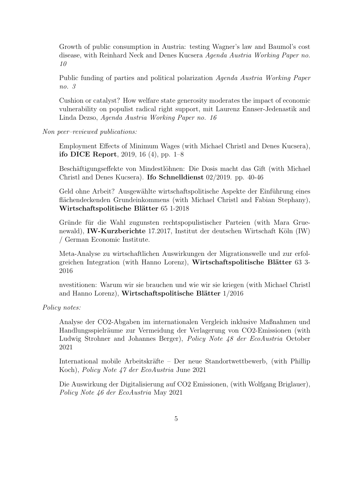Growth of public consumption in Austria: testing Wagner's law and Baumol's cost disease, with Reinhard Neck and Denes Kucsera Agenda Austria Working Paper no. 10

Public funding of parties and political polarization Agenda Austria Working Paper no. 3

Cushion or catalyst? How welfare state generosity moderates the impact of economic vulnerability on populist radical right support, mit Laurenz Ennser-Jedenastik and Linda Dezso, Agenda Austria Working Paper no. 16

Non peer–reviewed publications:

Employment Effects of Minimum Wages (with Michael Christl and Denes Kucsera), ifo DICE Report, 2019, 16 (4), pp. 1–8

Beschäftigungseffekte von Mindestlöhnen: Die Dosis macht das Gift (with Michael Christl and Denes Kucsera). Ifo Schnelldienst 02/2019. pp. 40-46

Geld ohne Arbeit? Ausgewählte wirtschaftspolitische Aspekte der Einführung eines flächendeckenden Grundeinkommens (with Michael Christl and Fabian Stephany), Wirtschaftspolitische Blätter 65 1-2018

Gründe für die Wahl zugunsten rechtspopulistischer Parteien (with Mara Gruenewald), **IW-Kurzberichte** 17.2017, Institut der deutschen Wirtschaft Köln  $(IW)$ / German Economic Institute.

Meta-Analyse zu wirtschaftlichen Auswirkungen der Migrationswelle und zur erfolgreichen Integration (with Hanno Lorenz), Wirtschaftspolitische Blätter 63 3-2016

nvestitionen: Warum wir sie brauchen und wie wir sie kriegen (with Michael Christl and Hanno Lorenz), Wirtschaftspolitische Blätter  $1/2016$ 

Policy notes:

Analyse der CO2-Abgaben im internationalen Vergleich inklusive Maßnahmen und Handlungsspielräume zur Vermeidung der Verlagerung von CO2-Emissionen (with Ludwig Strohner and Johannes Berger), Policy Note 48 der EcoAustria October 2021

International mobile Arbeitskräfte – Der neue Standortwettbewerb, (with Phillip Koch), Policy Note 47 der EcoAustria June 2021

Die Auswirkung der Digitalisierung auf CO2 Emissionen, (with Wolfgang Briglauer), Policy Note 46 der EcoAustria May 2021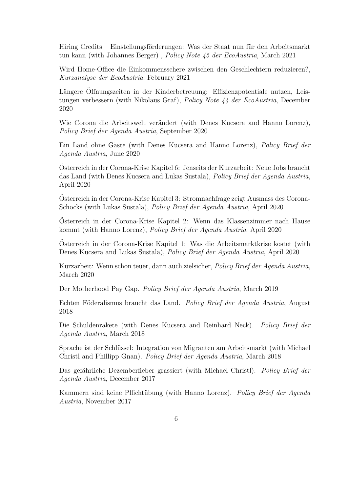Hiring Credits – Einstellungsförderungen: Was der Staat nun für den Arbeitsmarkt tun kann (with Johannes Berger), Policy Note 45 der EcoAustria, March 2021

Wird Home-Office die Einkommensschere zwischen den Geschlechtern reduzieren?, Kurzanalyse der EcoAustria, February 2021

Längere Offnungszeiten in der Kinderbetreuung: Effizienzpotentiale nutzen, Leistungen verbessern (with Nikolaus Graf), Policy Note 44 der EcoAustria, December 2020

Wie Corona die Arbeitswelt verändert (with Denes Kucsera and Hanno Lorenz), Policy Brief der Agenda Austria, September 2020

Ein Land ohne Gäste (with Denes Kucsera and Hanno Lorenz), *Policy Brief der* Agenda Austria, June 2020

Osterreich in der Corona-Krise Kapitel 6: Jenseits der Kurzarbeit: Neue Jobs braucht ¨ das Land (with Denes Kucsera and Lukas Sustala), Policy Brief der Agenda Austria, April 2020

Osterreich in der Corona-Krise Kapitel 3: Stromnachfrage zeigt Ausmass des Corona- ¨ Schocks (with Lukas Sustala), Policy Brief der Agenda Austria, April 2020

Osterreich in der Corona-Krise Kapitel 2: Wenn das Klassenzimmer nach Hause ¨ kommt (with Hanno Lorenz), Policy Brief der Agenda Austria, April 2020

Osterreich in der Corona-Krise Kapitel 1: Was die Arbeitsmarktkrise kostet (with ¨ Denes Kucsera and Lukas Sustala), Policy Brief der Agenda Austria, April 2020

Kurzarbeit: Wenn schon teuer, dann auch zielsicher, Policy Brief der Agenda Austria, March 2020

Der Motherhood Pay Gap. Policy Brief der Agenda Austria, March 2019

Echten Föderalismus braucht das Land. Policy Brief der Agenda Austria, August 2018

Die Schuldenrakete (with Denes Kucsera and Reinhard Neck). Policy Brief der Agenda Austria, March 2018

Sprache ist der Schlüssel: Integration von Migranten am Arbeitsmarkt (with Michael Christl and Phillipp Gnan). Policy Brief der Agenda Austria, March 2018

Das gefährliche Dezemberfieber grassiert (with Michael Christl). Policy Brief der Agenda Austria, December 2017

Kammern sind keine Pflichtübung (with Hanno Lorenz). Policy Brief der Agenda Austria, November 2017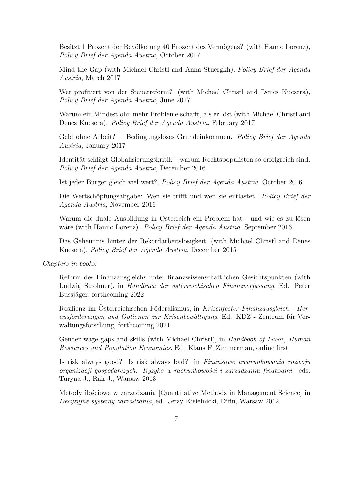Besitzt 1 Prozent der Bevölkerung 40 Prozent des Vermögens? (with Hanno Lorenz), Policy Brief der Agenda Austria, October 2017

Mind the Gap (with Michael Christl and Anna Stuergkh), Policy Brief der Agenda Austria, March 2017

Wer profitiert von der Steuerreform? (with Michael Christl and Denes Kucsera), Policy Brief der Agenda Austria, June 2017

Warum ein Mindestlohn mehr Probleme schafft, als er löst (with Michael Christl and Denes Kucsera). Policy Brief der Agenda Austria, February 2017

Geld ohne Arbeit? – Bedingungsloses Grundeinkommen. Policy Brief der Agenda Austria, January 2017

Identität schlägt Globalisierungskritik – warum Rechtspopulisten so erfolgreich sind. Policy Brief der Agenda Austria, December 2016

Ist jeder Bürger gleich viel wert?, Policy Brief der Agenda Austria, October 2016

Die Wertschöpfungsabgabe: Wen sie trifft und wen sie entlastet. Policy Brief der Agenda Austria, November 2016

Warum die duale Ausbildung in Osterreich ein Problem hat - und wie es zu lösen wäre (with Hanno Lorenz). Policy Brief der Agenda Austria, September 2016

Das Geheimnis hinter der Rekordarbeitslosigkeit, (with Michael Christl and Denes Kucsera), Policy Brief der Agenda Austria, December 2015

Chapters in books:

Reform des Finanzausgleichs unter finanzwissenschaftlichen Gesichtspunkten (with Ludwig Strohner), in Handbuch der österreichischen Finanzverfassung, Ed. Peter Bussjäger, forthcoming 2022

Resilienz im Österreichischen Föderalismus, in Krisenfester Finanzausgleich - Herausforderungen und Optionen zur Krisenbewältigung, Ed. KDZ - Zentrum für Verwaltungsforschung, forthcoming 2021

Gender wage gaps and skills (with Michael Christl), in Handbook of Labor, Human Resources and Population Economics, Ed. Klaus F. Zimmerman, online first

Is risk always good? Is risk always bad? in Finansowe uwarunkowania rozwoju organizacji gospodarczych. Ryzyko w rachunkowości i zarzadzaniu finansami. eds. Turyna J., Rak J., Warsaw 2013

Metody ilościowe w zarzadzaniu [Quantitative Methods in Management Science] in Decyzyjne systemy zarzadzania, ed. Jerzy Kisielnicki, Difin, Warsaw 2012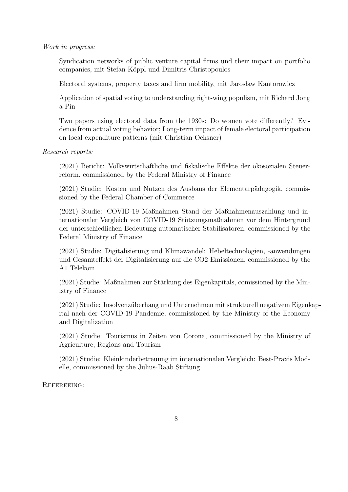Work in progress:

Syndication networks of public venture capital firms und their impact on portfolio companies, mit Stefan Köppl und Dimitris Christopoulos

Electoral systems, property taxes and firm mobility, mit Jarosław Kantorowicz

Application of spatial voting to understanding right-wing populism, mit Richard Jong a Pin

Two papers using electoral data from the 1930s: Do women vote differently? Evidence from actual voting behavior; Long-term impact of female electoral participation on local expenditure patterns (mit Christian Ochsner)

Research reports:

(2021) Bericht: Volkswirtschaftliche und fiskalische Effekte der ökosozialen Steuerreform, commissioned by the Federal Ministry of Finance

(2021) Studie: Kosten und Nutzen des Ausbaus der Elementarpädagogik, commissioned by the Federal Chamber of Commerce

(2021) Studie: COVID-19 Maßnahmen Stand der Maßnahmenauszahlung und internationaler Vergleich von COVID-19 Stützungsmaßnahmen vor dem Hintergrund der unterschiedlichen Bedeutung automatischer Stabilisatoren, commissioned by the Federal Ministry of Finance

(2021) Studie: Digitalisierung und Klimawandel: Hebeltechnologien, -anwendungen und Gesamteffekt der Digitalisierung auf die CO2 Emissionen, commissioned by the A1 Telekom

 $(2021)$  Studie: Maßnahmen zur Stärkung des Eigenkapitals, comissioned by the Ministry of Finance

(2021) Studie: Insolvenzüberhang und Unternehmen mit strukturell negativem Eigenkapital nach der COVID-19 Pandemie, commissioned by the Ministry of the Economy and Digitalization

(2021) Studie: Tourismus in Zeiten von Corona, commissioned by the Ministry of Agriculture, Regions and Tourism

(2021) Studie: Kleinkinderbetreuung im internationalen Vergleich: Best-Praxis Modelle, commissioned by the Julius-Raab Stiftung

REFEREEING: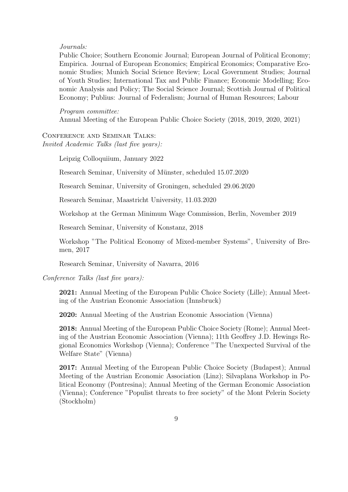## Journals:

Public Choice; Southern Economic Journal; European Journal of Political Economy; Empirica. Journal of European Economics; Empirical Economics; Comparative Economic Studies; Munich Social Science Review; Local Government Studies; Journal of Youth Studies; International Tax and Public Finance; Economic Modelling; Economic Analysis and Policy; The Social Science Journal; Scottish Journal of Political Economy; Publius: Journal of Federalism; Journal of Human Resources; Labour

Program committee: Annual Meeting of the European Public Choice Society (2018, 2019, 2020, 2021)

Conference and Seminar Talks: Invited Academic Talks (last five years):

Leipzig Colloquiium, January 2022

Research Seminar, University of Münster, scheduled  $15.07.2020$ 

Research Seminar, University of Groningen, scheduled 29.06.2020

Research Seminar, Maastricht University, 11.03.2020

Workshop at the German Minimum Wage Commission, Berlin, November 2019

Research Seminar, University of Konstanz, 2018

Workshop "The Political Economy of Mixed-member Systems", University of Bremen, 2017

Research Seminar, University of Navarra, 2016

Conference Talks (last five years):

2021: Annual Meeting of the European Public Choice Society (Lille); Annual Meeting of the Austrian Economic Association (Innsbruck)

2020: Annual Meeting of the Austrian Economic Association (Vienna)

2018: Annual Meeting of the European Public Choice Society (Rome); Annual Meeting of the Austrian Economic Association (Vienna); 11th Geoffrey J.D. Hewings Regional Economics Workshop (Vienna); Conference "The Unexpected Survival of the Welfare State" (Vienna)

2017: Annual Meeting of the European Public Choice Society (Budapest); Annual Meeting of the Austrian Economic Association (Linz); Silvaplana Workshop in Political Economy (Pontresina); Annual Meeting of the German Economic Association (Vienna); Conference "Populist threats to free society" of the Mont Pelerin Society (Stockholm)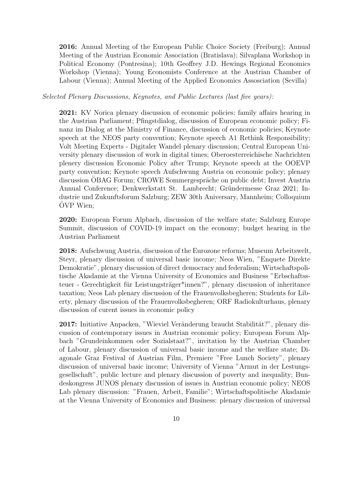2016: Annual Meeting of the European Public Choice Society (Freiburg); Annual Meeting of the Austrian Economic Association (Bratislava); Silvaplana Workshop in Political Economy (Pontresina); 10th Geoffrey J.D. Hewings Regional Economics Workshop (Vienna); Young Economists Conference at the Austrian Chamber of Labour (Vienna); Annual Meeting of the Applied Economics Assosciation (Sevilla)

## Selected Plenary Discussions, Keynotes, and Public Lectures (last five years):

2021: KV Norica plenary discussion of economic policies; family affairs hearing in the Austrian Parliament; Pfingstdialog, discussion of European economic policy; Finanz im Dialog at the Ministry of Finance, discussion of economic policies; Keynote speech at the NEOS party convention; Keynote speech A1 Rethink Responsibility; Volt Meeting Experts - Digitaler Wandel plenary discussion; Central European University plenary discussion of work in digital times; Oberoesterreichische Nachrichten plenery discussion Economic Policy after Trump; Keynote speech at the OOEVP party convention; Keynote speech Aufschwung Austria on economic policy; plenary discussion OBAG Forum; CROWE Sommergespräche on public debt; Invest Austria Annual Conference; Denkwerkstatt St. Lambrecht; Gründermesse Graz 2021; Industrie und Zukunftsforum Salzburg; ZEW 30th Aniversary, Mannheim; Colloquium OVP Wien;

2020: European Forum Alpbach, discussion of the welfare state; Salzburg Europe Summit, discussion of COVID-19 impact on the economy; budget hearing in the Austrian Parliament

2018: Aufschwung Austria, discussion of the Eurozone reforms; Museum Arbeitswelt, Steyr, plenary discussion of universal basic income; Neos Wien, "Enquete Direkte Demokratie", plenary discussion of direct democracy and federalism; Wirtschaftspolitische Akadamie at the Vienna University of Economics and Business "Erbschaftssteuer - Gerechtigkeit für Leistungsträger\*innen?", plenary discussion of inheritance taxation; Neos Lab plenary discussion of the Frauenvolksbegheren; Students for Liberty, plenary discussion of the Frauenvolksbegheren; ORF Radiokulturhaus, plenary discussion of curent issues in economic policy

2017: Initiative Anpacken, "Wieviel Veränderung braucht Stabilität?", plenary discussion of contemporary issues in Austrian economic policy; European Forum Alpbach "Grundeinkommen oder Sozialstaat?", invitation by the Austrian Chamber of Labour, plenary discussion of universal basic income and the welfare state; Diagonale Graz Festival of Austrian Film, Premiere "Free Lunch Society", plenary discussion of universal basic income; University of Vienna "Armut in der Lestungsgesellschaft", public lecture and plenary discussion of poverty and inequality; Bundeskongress JUNOS plenary discussion of issues in Austrian economic policy; NEOS Lab plenary discussion: "Frauen, Arbeit, Familie"; Wirtschaftspolitische Akadamie at the Vienna University of Economics and Business: plenary discussion of universal